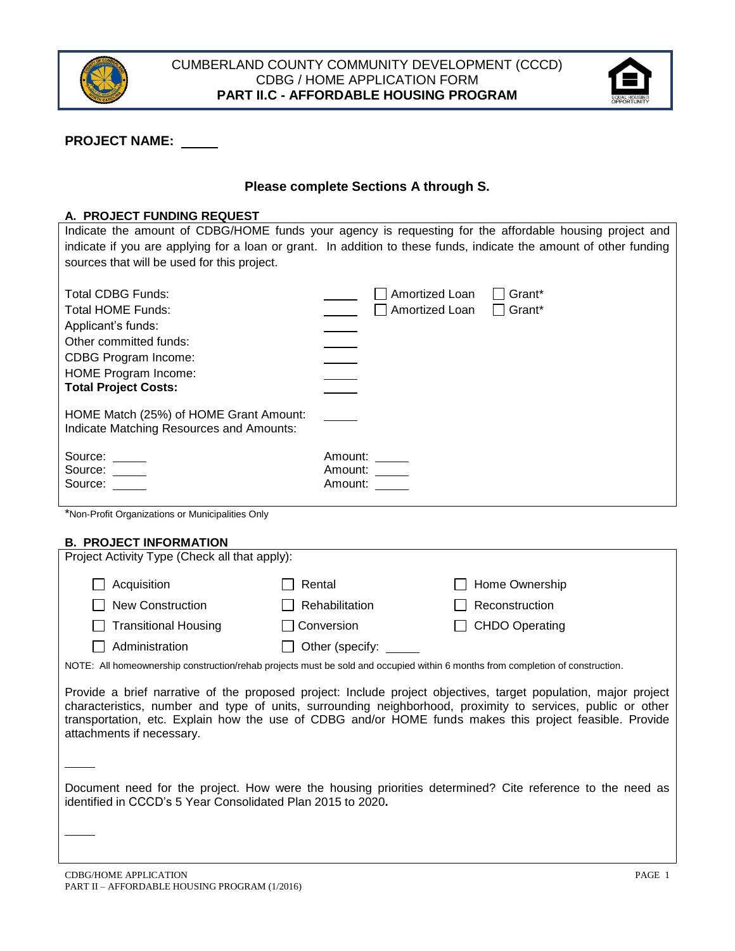



# **PROJECT NAME:**

# **Please complete Sections A through S.**

#### **A. PROJECT FUNDING REQUEST**

Indicate the amount of CDBG/HOME funds your agency is requesting for the affordable housing project and indicate if you are applying for a loan or grant. In addition to these funds, indicate the amount of other funding sources that will be used for this project.

| <b>Total CDBG Funds:</b><br><b>Total HOME Funds:</b>                               | Amortized Loan<br>Grant*<br>Grant*<br>Amortized Loan |
|------------------------------------------------------------------------------------|------------------------------------------------------|
| Applicant's funds:<br>Other committed funds:                                       |                                                      |
| <b>CDBG Program Income:</b>                                                        |                                                      |
| HOME Program Income:<br><b>Total Project Costs:</b>                                |                                                      |
| HOME Match (25%) of HOME Grant Amount:<br>Indicate Matching Resources and Amounts: |                                                      |
| Source:<br>Source: _____<br>Source:                                                | Amount:<br>Amount: _____<br>Amount:                  |

\*Non‐Profit Organizations or Municipalities Only

#### **B. PROJECT INFORMATION**

| Project Activity Type (Check all that apply): |                 |                |  |  |  |  |  |  |
|-----------------------------------------------|-----------------|----------------|--|--|--|--|--|--|
| Acquisition                                   | Rental          | Home Ownership |  |  |  |  |  |  |
| <b>New Construction</b>                       | Rehabilitation  | Reconstruction |  |  |  |  |  |  |
| $\Box$ Transitional Housing                   | Conversion      | CHDO Operating |  |  |  |  |  |  |
| Administration                                | Other (specify: |                |  |  |  |  |  |  |

NOTE: All homeownership construction/rehab projects must be sold and occupied within 6 months from completion of construction.

Provide a brief narrative of the proposed project: Include project objectives, target population, major project characteristics, number and type of units, surrounding neighborhood, proximity to services, public or other transportation, etc. Explain how the use of CDBG and/or HOME funds makes this project feasible. Provide attachments if necessary.

Document need for the project. How were the housing priorities determined? Cite reference to the need as identified in CCCD's 5 Year Consolidated Plan 2015 to 2020**.**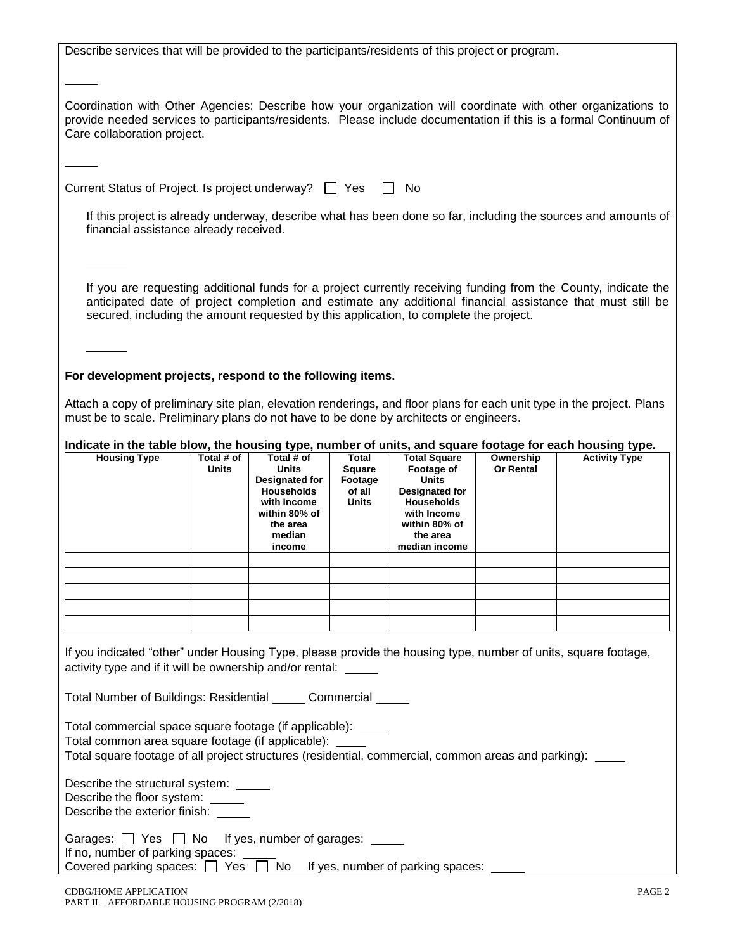Describe services that will be provided to the participants/residents of this project or program.

Coordination with Other Agencies: Describe how your organization will coordinate with other organizations to provide needed services to participants/residents. Please include documentation if this is a formal Continuum of Care collaboration project.

Current Status of Project. Is project underway?  $\Box$  Yes  $\Box$  No

If this project is already underway, describe what has been done so far, including the sources and amounts of financial assistance already received.

If you are requesting additional funds for a project currently receiving funding from the County, indicate the anticipated date of project completion and estimate any additional financial assistance that must still be secured, including the amount requested by this application, to complete the project.

#### **For development projects, respond to the following items.**

Attach a copy of preliminary site plan, elevation renderings, and floor plans for each unit type in the project. Plans must be to scale. Preliminary plans do not have to be done by architects or engineers.

| Indicate in the table blow, the housing type, number of units, and square footage for each housing type. |  |  |
|----------------------------------------------------------------------------------------------------------|--|--|
|                                                                                                          |  |  |

| <b>Housing Type</b> | Total # of<br>Units | Total # of<br>Units<br>Designated for<br><b>Households</b><br>with Income<br>within 80% of<br>the area<br>median<br>income | Total<br><b>Square</b><br>Footage<br>of all<br><b>Units</b> | <b>Total Square</b><br>Footage of<br>Units<br><b>Designated for</b><br><b>Households</b><br>with Income<br>within 80% of<br>the area<br>median income | Ownership<br><b>Or Rental</b> | <b>Activity Type</b> |
|---------------------|---------------------|----------------------------------------------------------------------------------------------------------------------------|-------------------------------------------------------------|-------------------------------------------------------------------------------------------------------------------------------------------------------|-------------------------------|----------------------|
|                     |                     |                                                                                                                            |                                                             |                                                                                                                                                       |                               |                      |
|                     |                     |                                                                                                                            |                                                             |                                                                                                                                                       |                               |                      |
|                     |                     |                                                                                                                            |                                                             |                                                                                                                                                       |                               |                      |
|                     |                     |                                                                                                                            |                                                             |                                                                                                                                                       |                               |                      |
|                     |                     |                                                                                                                            |                                                             |                                                                                                                                                       |                               |                      |

If you indicated "other" under Housing Type, please provide the housing type, number of units, square footage, activity type and if it will be ownership and/or rental:

Total Number of Buildings: Residential \_\_\_\_\_ Commercial

Total commercial space square footage (if applicable):

Total common area square footage (if applicable):

Total square footage of all project structures (residential, commercial, common areas and parking):

Describe the structural system:

Describe the floor system:

Describe the exterior finish:

|  |  | Garages: $\Box$ Yes $\Box$ No If yes, number of garages: |
|--|--|----------------------------------------------------------|
|--|--|----------------------------------------------------------|

If no, number of parking spaces:

Covered parking spaces:  $\Box$  Yes  $\Box$  No If yes, number of parking spaces: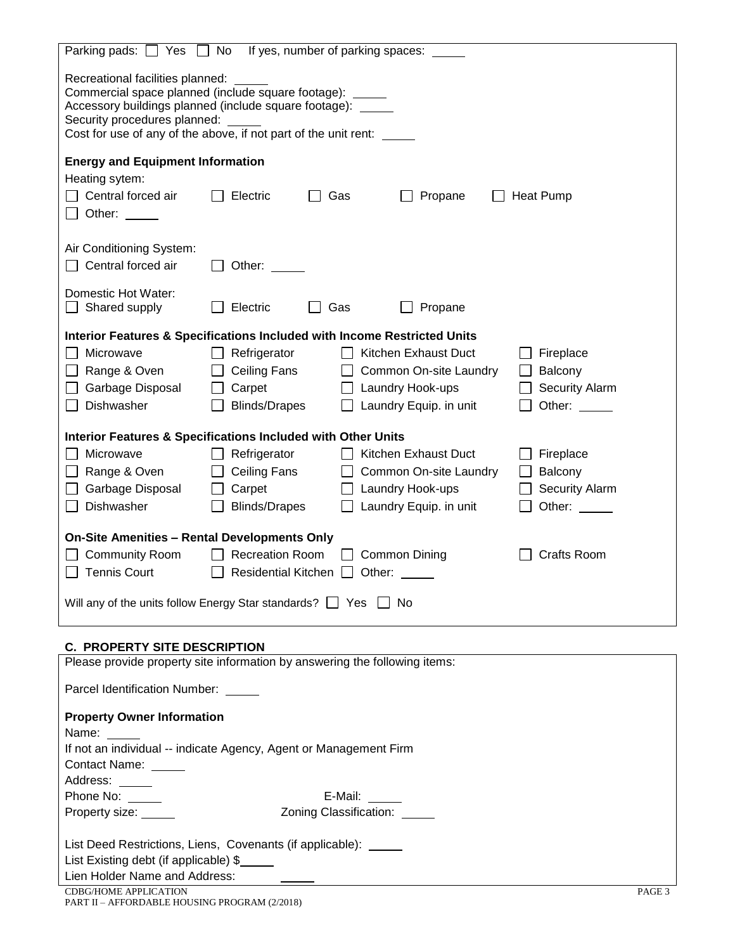| If yes, number of parking spaces:<br>No<br>Parking pads: $\Box$ Yes                                                                                                                         |  |  |  |  |  |  |  |  |
|---------------------------------------------------------------------------------------------------------------------------------------------------------------------------------------------|--|--|--|--|--|--|--|--|
| Recreational facilities planned:<br>Commercial space planned (include square footage): _____<br>Accessory buildings planned (include square footage): _____<br>Security procedures planned: |  |  |  |  |  |  |  |  |
| Cost for use of any of the above, if not part of the unit rent: _____                                                                                                                       |  |  |  |  |  |  |  |  |
| <b>Energy and Equipment Information</b>                                                                                                                                                     |  |  |  |  |  |  |  |  |
| Heating sytem:                                                                                                                                                                              |  |  |  |  |  |  |  |  |
| Central forced air<br>Electric<br>Gas<br>Propane<br><b>Heat Pump</b>                                                                                                                        |  |  |  |  |  |  |  |  |
| Other: $\_\_$                                                                                                                                                                               |  |  |  |  |  |  |  |  |
| Air Conditioning System:                                                                                                                                                                    |  |  |  |  |  |  |  |  |
| $\Box$ Central forced air<br>Other:                                                                                                                                                         |  |  |  |  |  |  |  |  |
|                                                                                                                                                                                             |  |  |  |  |  |  |  |  |
| Domestic Hot Water:                                                                                                                                                                         |  |  |  |  |  |  |  |  |
| $\Box$ Shared supply<br>Electric<br>Gas<br>Propane                                                                                                                                          |  |  |  |  |  |  |  |  |
| Interior Features & Specifications Included with Income Restricted Units                                                                                                                    |  |  |  |  |  |  |  |  |
| Microwave<br>Refrigerator<br>Kitchen Exhaust Duct<br>Fireplace<br>$\mathbf{1}$                                                                                                              |  |  |  |  |  |  |  |  |
| □ Range & Oven<br>Ceiling Fans<br>Common On-site Laundry<br>Balcony<br>$\perp$                                                                                                              |  |  |  |  |  |  |  |  |
| Garbage Disposal<br>Carpet<br>Laundry Hook-ups<br><b>Security Alarm</b>                                                                                                                     |  |  |  |  |  |  |  |  |
| Dishwasher<br><b>Blinds/Drapes</b><br>Laundry Equip. in unit<br>Other: $\_\_$<br>$\mathbf{I}$                                                                                               |  |  |  |  |  |  |  |  |
|                                                                                                                                                                                             |  |  |  |  |  |  |  |  |
| <b>Interior Features &amp; Specifications Included with Other Units</b>                                                                                                                     |  |  |  |  |  |  |  |  |
| Microwave<br>Refrigerator<br>Kitchen Exhaust Duct<br>Fireplace                                                                                                                              |  |  |  |  |  |  |  |  |
| Range & Oven<br>Ceiling Fans<br>Common On-site Laundry<br>Balcony                                                                                                                           |  |  |  |  |  |  |  |  |
| Garbage Disposal<br>Carpet<br>Laundry Hook-ups<br><b>Security Alarm</b>                                                                                                                     |  |  |  |  |  |  |  |  |
| Dishwasher<br><b>Blinds/Drapes</b><br>Laundry Equip. in unit<br>Other: $\_\_$                                                                                                               |  |  |  |  |  |  |  |  |
|                                                                                                                                                                                             |  |  |  |  |  |  |  |  |
| <b>On-Site Amenities - Rental Developments Only</b>                                                                                                                                         |  |  |  |  |  |  |  |  |
| <b>Community Room</b><br><b>Recreation Room</b><br><b>Common Dining</b><br>Crafts Room                                                                                                      |  |  |  |  |  |  |  |  |
| <b>Tennis Court</b><br><b>Residential Kitchen</b><br>Other:                                                                                                                                 |  |  |  |  |  |  |  |  |
|                                                                                                                                                                                             |  |  |  |  |  |  |  |  |
| Will any of the units follow Energy Star standards? Simpless No                                                                                                                             |  |  |  |  |  |  |  |  |
|                                                                                                                                                                                             |  |  |  |  |  |  |  |  |
| <b>C. PROPERTY SITE DESCRIPTION</b>                                                                                                                                                         |  |  |  |  |  |  |  |  |
| Please provide property site information by answering the following items:                                                                                                                  |  |  |  |  |  |  |  |  |
| Parcel Identification Number: _____                                                                                                                                                         |  |  |  |  |  |  |  |  |
| <b>Property Owner Information</b>                                                                                                                                                           |  |  |  |  |  |  |  |  |
| Name:                                                                                                                                                                                       |  |  |  |  |  |  |  |  |
| If not an individual -- indicate Agency, Agent or Management Firm                                                                                                                           |  |  |  |  |  |  |  |  |
| Contact Name: _____                                                                                                                                                                         |  |  |  |  |  |  |  |  |
| Address: _____                                                                                                                                                                              |  |  |  |  |  |  |  |  |
| E-Mail: $\_\_\_\_\_\_\_\_\_\_\_\$<br>Phone No:                                                                                                                                              |  |  |  |  |  |  |  |  |
| Zoning Classification: _____<br>Property size: _____                                                                                                                                        |  |  |  |  |  |  |  |  |
|                                                                                                                                                                                             |  |  |  |  |  |  |  |  |
| List Deed Restrictions, Liens, Covenants (if applicable): _____<br>List Existing debt (if applicable) \$                                                                                    |  |  |  |  |  |  |  |  |
| Lien Holder Name and Address:                                                                                                                                                               |  |  |  |  |  |  |  |  |
|                                                                                                                                                                                             |  |  |  |  |  |  |  |  |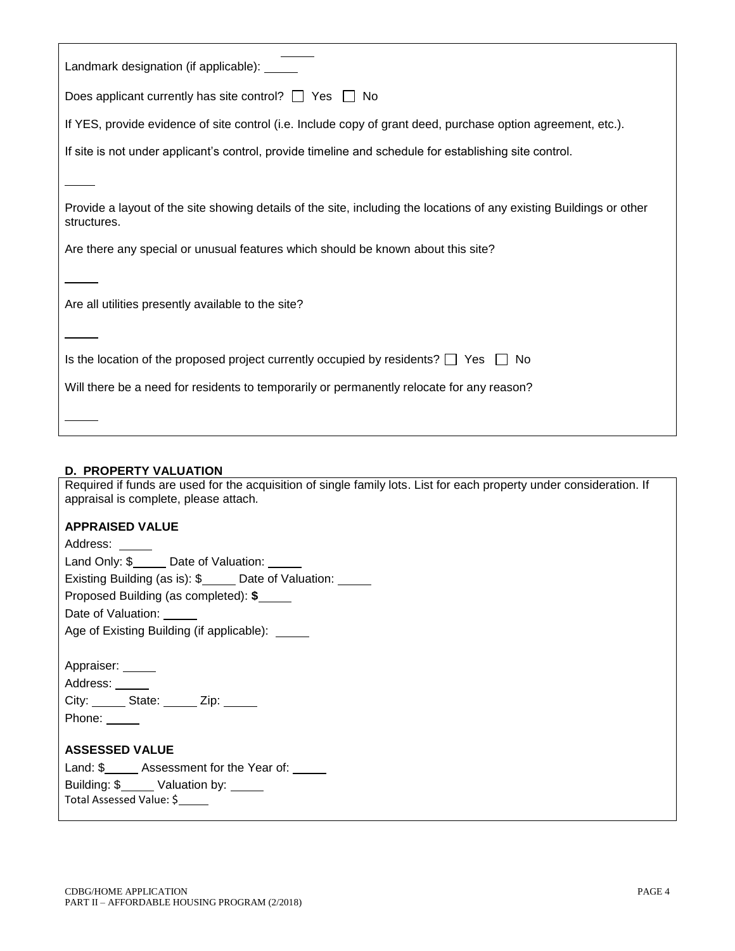| Landmark designation (if applicable): |  |
|---------------------------------------|--|
|---------------------------------------|--|

Does applicant currently has site control?  $\Box$  Yes  $\Box$  No

If YES, provide evidence of site control (i.e. Include copy of grant deed, purchase option agreement, etc.).

If site is not under applicant's control, provide timeline and schedule for establishing site control.

Provide a layout of the site showing details of the site, including the locations of any existing Buildings or other structures.

Are there any special or unusual features which should be known about this site?

Are all utilities presently available to the site?

|  |  |  |  | Is the location of the proposed project currently occupied by residents? $\Box$ Yes $\Box$ No |  |  |
|--|--|--|--|-----------------------------------------------------------------------------------------------|--|--|
|  |  |  |  |                                                                                               |  |  |

|  |  | Will there be a need for residents to temporarily or permanently relocate for any reason? |
|--|--|-------------------------------------------------------------------------------------------|
|  |  |                                                                                           |

#### **D. PROPERTY VALUATION**

Required if funds are used for the acquisition of single family lots. List for each property under consideration. If appraisal is complete, please attach*.* 

#### **APPRAISED VALUE**

| Address: _____                                      |  |  |  |  |  |  |  |  |
|-----------------------------------------------------|--|--|--|--|--|--|--|--|
| Land Only: \$ _____ Date of Valuation: _____        |  |  |  |  |  |  |  |  |
| Existing Building (as is): \$<br>Date of Valuation: |  |  |  |  |  |  |  |  |
| Proposed Building (as completed): \$                |  |  |  |  |  |  |  |  |
| Date of Valuation: _____                            |  |  |  |  |  |  |  |  |
| Age of Existing Building (if applicable): _____     |  |  |  |  |  |  |  |  |
|                                                     |  |  |  |  |  |  |  |  |
| Appraiser: _____                                    |  |  |  |  |  |  |  |  |
| Address: ______                                     |  |  |  |  |  |  |  |  |
| City: _______ State: ______ Zip: ______             |  |  |  |  |  |  |  |  |
| Phone: $\_\_$                                       |  |  |  |  |  |  |  |  |
|                                                     |  |  |  |  |  |  |  |  |
| <b>ASSESSED VALUE</b>                               |  |  |  |  |  |  |  |  |
| Land: \$ ______ Assessment for the Year of:         |  |  |  |  |  |  |  |  |
| Building: \$______ Valuation by: _____              |  |  |  |  |  |  |  |  |
| Total Assessed Value: \$                            |  |  |  |  |  |  |  |  |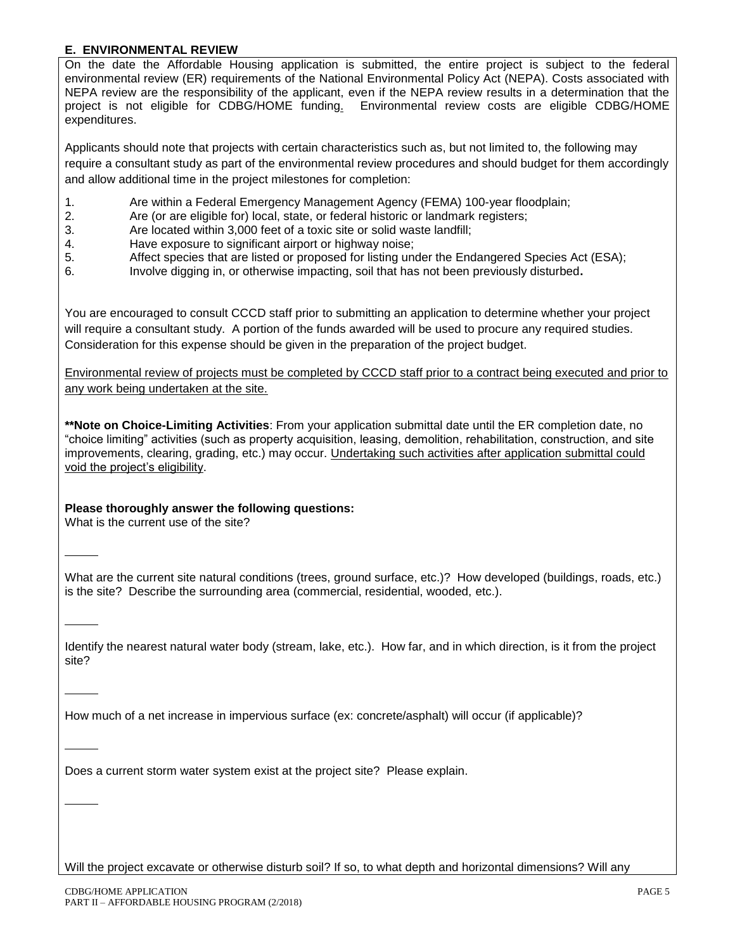## **E. ENVIRONMENTAL REVIEW**

On the date the Affordable Housing application is submitted, the entire project is subject to the federal environmental review (ER) requirements of the National Environmental Policy Act (NEPA). Costs associated with NEPA review are the responsibility of the applicant, even if the NEPA review results in a determination that the project is not eligible for CDBG/HOME funding. Environmental review costs are eligible CDBG/HOME expenditures.

Applicants should note that projects with certain characteristics such as, but not limited to, the following may require a consultant study as part of the environmental review procedures and should budget for them accordingly and allow additional time in the project milestones for completion:

- 1. Are within a Federal Emergency Management Agency (FEMA) 100-year floodplain;
- 2. Are (or are eligible for) local, state, or federal historic or landmark registers;
- 3. Are located within 3,000 feet of a toxic site or solid waste landfill;
- 4. Have exposure to significant airport or highway noise;
- 5. Affect species that are listed or proposed for listing under the Endangered Species Act (ESA);
- 6. Involve digging in, or otherwise impacting, soil that has not been previously disturbed**.**

You are encouraged to consult CCCD staff prior to submitting an application to determine whether your project will require a consultant study. A portion of the funds awarded will be used to procure any required studies. Consideration for this expense should be given in the preparation of the project budget.

Environmental review of projects must be completed by CCCD staff prior to a contract being executed and prior to any work being undertaken at the site.

**\*\*Note on Choice-Limiting Activities**: From your application submittal date until the ER completion date, no "choice limiting" activities (such as property acquisition, leasing, demolition, rehabilitation, construction, and site improvements, clearing, grading, etc.) may occur. Undertaking such activities after application submittal could void the project's eligibility.

## **Please thoroughly answer the following questions:**

What is the current use of the site?

What are the current site natural conditions (trees, ground surface, etc.)? How developed (buildings, roads, etc.) is the site? Describe the surrounding area (commercial, residential, wooded, etc.).

Identify the nearest natural water body (stream, lake, etc.). How far, and in which direction, is it from the project site?

How much of a net increase in impervious surface (ex: concrete/asphalt) will occur (if applicable)?

Does a current storm water system exist at the project site? Please explain.

Will the project excavate or otherwise disturb soil? If so, to what depth and horizontal dimensions? Will any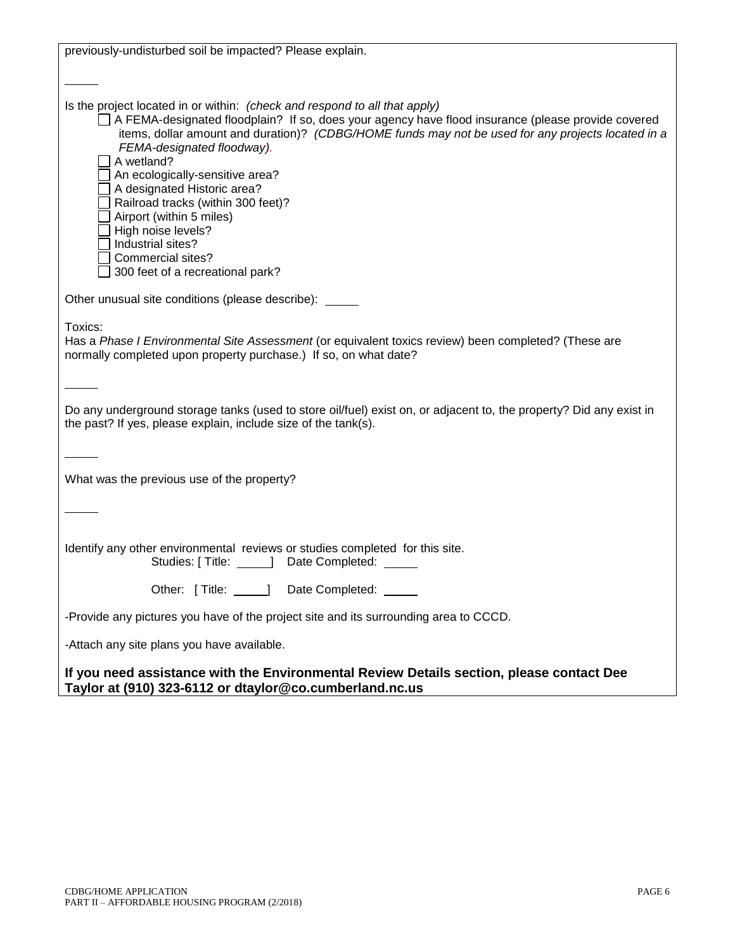| previously-undisturbed soil be impacted? Please explain.                                                                                                                                                                                                                                                                                                                                                                                                                                                                                                                   |
|----------------------------------------------------------------------------------------------------------------------------------------------------------------------------------------------------------------------------------------------------------------------------------------------------------------------------------------------------------------------------------------------------------------------------------------------------------------------------------------------------------------------------------------------------------------------------|
|                                                                                                                                                                                                                                                                                                                                                                                                                                                                                                                                                                            |
| Is the project located in or within: (check and respond to all that apply)<br>A FEMA-designated floodplain? If so, does your agency have flood insurance (please provide covered<br>items, dollar amount and duration)? (CDBG/HOME funds may not be used for any projects located in a<br>FEMA-designated floodway).<br>A wetland?<br>An ecologically-sensitive area?<br>A designated Historic area?<br>Railroad tracks (within 300 feet)?<br>Airport (within 5 miles)<br>High noise levels?<br>Industrial sites?<br>Commercial sites?<br>300 feet of a recreational park? |
| Other unusual site conditions (please describe): ____                                                                                                                                                                                                                                                                                                                                                                                                                                                                                                                      |
| Toxics:<br>Has a Phase I Environmental Site Assessment (or equivalent toxics review) been completed? (These are<br>normally completed upon property purchase.) If so, on what date?                                                                                                                                                                                                                                                                                                                                                                                        |
| Do any underground storage tanks (used to store oil/fuel) exist on, or adjacent to, the property? Did any exist in<br>the past? If yes, please explain, include size of the tank(s).                                                                                                                                                                                                                                                                                                                                                                                       |
|                                                                                                                                                                                                                                                                                                                                                                                                                                                                                                                                                                            |
| What was the previous use of the property?                                                                                                                                                                                                                                                                                                                                                                                                                                                                                                                                 |
|                                                                                                                                                                                                                                                                                                                                                                                                                                                                                                                                                                            |
| Identify any other environmental reviews or studies completed for this site.<br>Studies: [ Title: ______] Date Completed:                                                                                                                                                                                                                                                                                                                                                                                                                                                  |
| Other: [Title: 1990] Date Completed:                                                                                                                                                                                                                                                                                                                                                                                                                                                                                                                                       |
| -Provide any pictures you have of the project site and its surrounding area to CCCD.                                                                                                                                                                                                                                                                                                                                                                                                                                                                                       |
| -Attach any site plans you have available.                                                                                                                                                                                                                                                                                                                                                                                                                                                                                                                                 |
| If you need assistance with the Environmental Review Details section, please contact Dee                                                                                                                                                                                                                                                                                                                                                                                                                                                                                   |

**Taylor at (910) 323-6112 or dtaylor@co.cumberland.nc.us**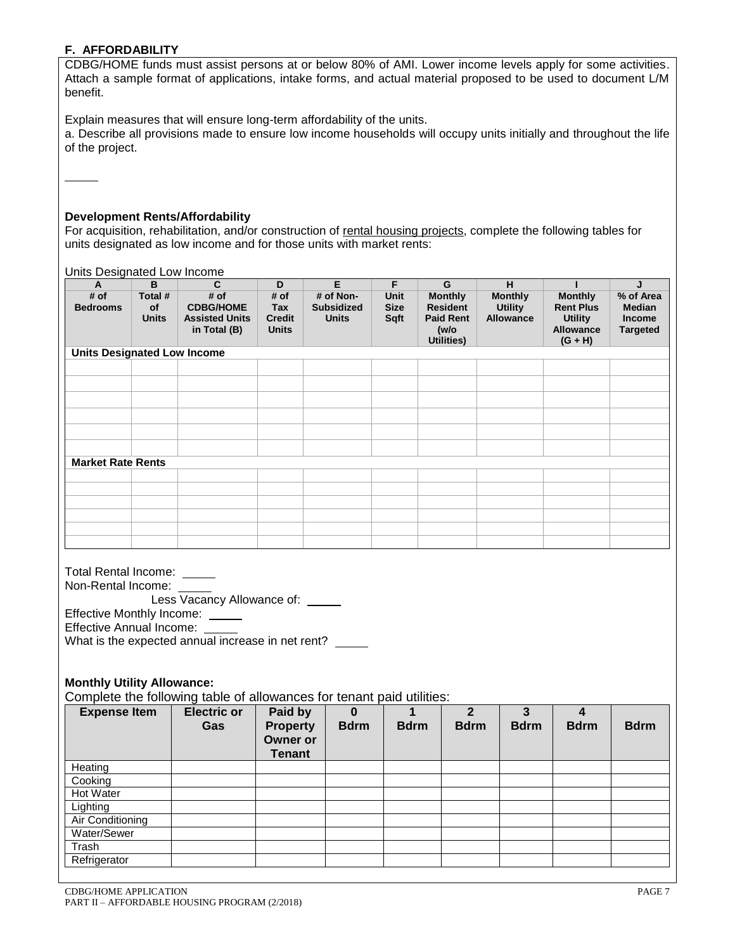## **F. AFFORDABILITY**

CDBG/HOME funds must assist persons at or below 80% of AMI. Lower income levels apply for some activities. Attach a sample format of applications, intake forms, and actual material proposed to be used to document L/M benefit.

Explain measures that will ensure long-term affordability of the units.

a. Describe all provisions made to ensure low income households will occupy units initially and throughout the life of the project.

#### **Development Rents/Affordability**

For acquisition, rehabilitation, and/or construction of rental housing projects, complete the following tables for units designated as low income and for those units with market rents:

Units Designated Low Income

| A                        | B                                  | $\mathbf{C}$                                                      | D                                            | E                                              | F                           | G                                                                           | H                                                    |                                                                                       | J                                                              |  |  |
|--------------------------|------------------------------------|-------------------------------------------------------------------|----------------------------------------------|------------------------------------------------|-----------------------------|-----------------------------------------------------------------------------|------------------------------------------------------|---------------------------------------------------------------------------------------|----------------------------------------------------------------|--|--|
| # of<br><b>Bedrooms</b>  | Total #<br>of<br><b>Units</b>      | # of<br><b>CDBG/HOME</b><br><b>Assisted Units</b><br>in Total (B) | # of<br>Tax<br><b>Credit</b><br><b>Units</b> | # of Non-<br><b>Subsidized</b><br><b>Units</b> | Unit<br><b>Size</b><br>Sqft | <b>Monthly</b><br><b>Resident</b><br><b>Paid Rent</b><br>(w/o<br>Utilities) | <b>Monthly</b><br><b>Utility</b><br><b>Allowance</b> | <b>Monthly</b><br><b>Rent Plus</b><br><b>Utility</b><br><b>Allowance</b><br>$(G + H)$ | % of Area<br><b>Median</b><br><b>Income</b><br><b>Targeted</b> |  |  |
|                          | <b>Units Designated Low Income</b> |                                                                   |                                              |                                                |                             |                                                                             |                                                      |                                                                                       |                                                                |  |  |
|                          |                                    |                                                                   |                                              |                                                |                             |                                                                             |                                                      |                                                                                       |                                                                |  |  |
|                          |                                    |                                                                   |                                              |                                                |                             |                                                                             |                                                      |                                                                                       |                                                                |  |  |
|                          |                                    |                                                                   |                                              |                                                |                             |                                                                             |                                                      |                                                                                       |                                                                |  |  |
|                          |                                    |                                                                   |                                              |                                                |                             |                                                                             |                                                      |                                                                                       |                                                                |  |  |
|                          |                                    |                                                                   |                                              |                                                |                             |                                                                             |                                                      |                                                                                       |                                                                |  |  |
|                          |                                    |                                                                   |                                              |                                                |                             |                                                                             |                                                      |                                                                                       |                                                                |  |  |
| <b>Market Rate Rents</b> |                                    |                                                                   |                                              |                                                |                             |                                                                             |                                                      |                                                                                       |                                                                |  |  |
|                          |                                    |                                                                   |                                              |                                                |                             |                                                                             |                                                      |                                                                                       |                                                                |  |  |
|                          |                                    |                                                                   |                                              |                                                |                             |                                                                             |                                                      |                                                                                       |                                                                |  |  |
|                          |                                    |                                                                   |                                              |                                                |                             |                                                                             |                                                      |                                                                                       |                                                                |  |  |
|                          |                                    |                                                                   |                                              |                                                |                             |                                                                             |                                                      |                                                                                       |                                                                |  |  |
|                          |                                    |                                                                   |                                              |                                                |                             |                                                                             |                                                      |                                                                                       |                                                                |  |  |
|                          |                                    |                                                                   |                                              |                                                |                             |                                                                             |                                                      |                                                                                       |                                                                |  |  |

| Total Rental Income:                              |
|---------------------------------------------------|
| Non-Rental Income:                                |
| Less Vacancy Allowance of:                        |
| Effective Monthly Income:                         |
| <b>Effective Annual Income:</b>                   |
| What is the expected annual increase in net rent? |

## **Monthly Utility Allowance:**

Complete the following table of allowances for tenant paid utilities:

| <b>Expense Item</b> | ີ<br><b>Electric or</b><br>Gas | Paid by<br><b>Property</b><br><b>Owner or</b><br>Tenant | 0<br><b>Bdrm</b> | <b>Bdrm</b> | $\mathfrak{p}$<br><b>Bdrm</b> | <b>Bdrm</b> | <b>Bdrm</b> | <b>Bdrm</b> |
|---------------------|--------------------------------|---------------------------------------------------------|------------------|-------------|-------------------------------|-------------|-------------|-------------|
| Heating             |                                |                                                         |                  |             |                               |             |             |             |
| Cooking             |                                |                                                         |                  |             |                               |             |             |             |
| Hot Water           |                                |                                                         |                  |             |                               |             |             |             |
| Lighting            |                                |                                                         |                  |             |                               |             |             |             |
| Air Conditioning    |                                |                                                         |                  |             |                               |             |             |             |
| Water/Sewer         |                                |                                                         |                  |             |                               |             |             |             |
| Trash               |                                |                                                         |                  |             |                               |             |             |             |
| Refrigerator        |                                |                                                         |                  |             |                               |             |             |             |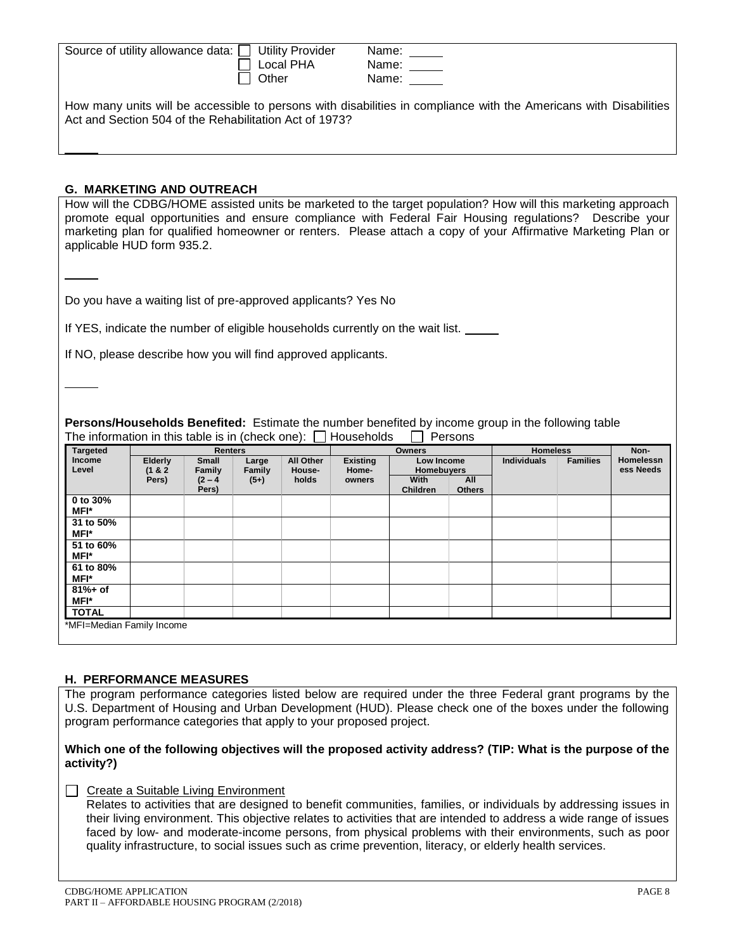| Source of utility allowance data: □ Utility Provider | Local PHA | Name:<br>Name:                                                                                                    |
|------------------------------------------------------|-----------|-------------------------------------------------------------------------------------------------------------------|
|                                                      | Other     | Name: ___                                                                                                         |
|                                                      |           | How many units will be accessible to persons with disabilities in compliance with the Americans with Disabilities |

#### **G. MARKETING AND OUTREACH**

How will the CDBG/HOME assisted units be marketed to the target population? How will this marketing approach promote equal opportunities and ensure compliance with Federal Fair Housing regulations? Describe your marketing plan for qualified homeowner or renters. Please attach a copy of your Affirmative Marketing Plan or applicable HUD form 935.2.

Do you have a waiting list of pre-approved applicants? Yes No

Act and Section 504 of the Rehabilitation Act of 1973?

If YES, indicate the number of eligible households currently on the wait list.

If NO, please describe how you will find approved applicants.

**Persons/Households Benefited:** Estimate the number benefited by income group in the following table The information in this table is in (check one):  $\Box$  Households  $\Box$  Persons

| <b>Targeted</b>    |                    | <b>Renters</b>     |                 |                     | <b>Owners</b>            |                                 |                      | <b>Homeless</b>    |                 | Non-                          |
|--------------------|--------------------|--------------------|-----------------|---------------------|--------------------------|---------------------------------|----------------------|--------------------|-----------------|-------------------------------|
| Income<br>Level    | Elderly<br>(1 & 8) | Small<br>Family    | Large<br>Family | All Other<br>House- | <b>Existing</b><br>Home- | Low Income<br><b>Homebuyers</b> |                      | <b>Individuals</b> | <b>Families</b> | <b>Homelessn</b><br>ess Needs |
|                    | Pers)              | $(2 - 4)$<br>Pers) | $(5+)$          | holds               | owners                   | <b>With</b><br><b>Children</b>  | All<br><b>Others</b> |                    |                 |                               |
| 0 to 30%<br>MFI*   |                    |                    |                 |                     |                          |                                 |                      |                    |                 |                               |
| 31 to 50%<br>MFI*  |                    |                    |                 |                     |                          |                                 |                      |                    |                 |                               |
| 51 to 60%<br>MFI*  |                    |                    |                 |                     |                          |                                 |                      |                    |                 |                               |
| 61 to 80%<br>MFI*  |                    |                    |                 |                     |                          |                                 |                      |                    |                 |                               |
| $81% + of$<br>MFI* |                    |                    |                 |                     |                          |                                 |                      |                    |                 |                               |
| <b>TOTAL</b>       |                    |                    |                 |                     |                          |                                 |                      |                    |                 |                               |

#### **H. PERFORMANCE MEASURES**

The program performance categories listed below are required under the three Federal grant programs by the U.S. Department of Housing and Urban Development (HUD). Please check one of the boxes under the following program performance categories that apply to your proposed project.

#### **Which one of the following objectives will the proposed activity address? (TIP: What is the purpose of the activity?)**

□ Create a Suitable Living Environment

Relates to activities that are designed to benefit communities, families, or individuals by addressing issues in their living environment. This objective relates to activities that are intended to address a wide range of issues faced by low- and moderate-income persons, from physical problems with their environments, such as poor quality infrastructure, to social issues such as crime prevention, literacy, or elderly health services.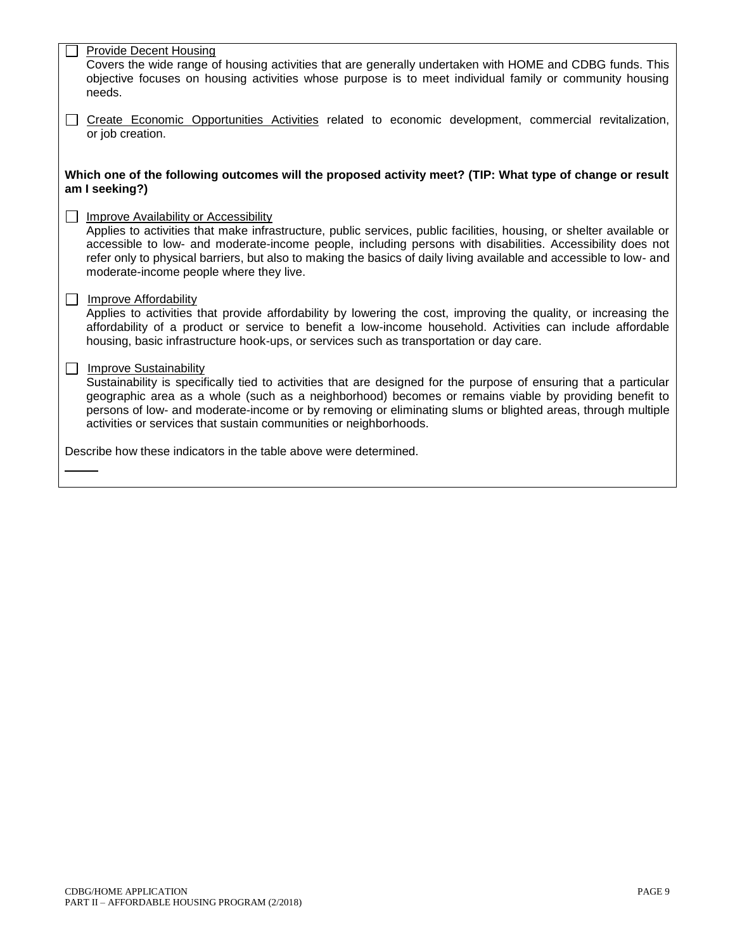| <b>Provide Decent Housing</b>                                                                                                                                                                                                     |
|-----------------------------------------------------------------------------------------------------------------------------------------------------------------------------------------------------------------------------------|
| Covers the wide range of housing activities that are generally undertaken with HOME and CDBG funds. This                                                                                                                          |
| objective focuses on housing activities whose purpose is to meet individual family or community housing                                                                                                                           |
| needs.                                                                                                                                                                                                                            |
| Create Economic Opportunities Activities related to economic development, commercial revitalization,<br>or job creation.                                                                                                          |
|                                                                                                                                                                                                                                   |
|                                                                                                                                                                                                                                   |
| Which one of the following outcomes will the proposed activity meet? (TIP: What type of change or result<br>am I seeking?)                                                                                                        |
|                                                                                                                                                                                                                                   |
| <b>Improve Availability or Accessibility</b>                                                                                                                                                                                      |
| Applies to activities that make infrastructure, public services, public facilities, housing, or shelter available or                                                                                                              |
| accessible to low- and moderate-income people, including persons with disabilities. Accessibility does not<br>refer only to physical barriers, but also to making the basics of daily living available and accessible to low- and |
| moderate-income people where they live.                                                                                                                                                                                           |
|                                                                                                                                                                                                                                   |
| Improve Affordability                                                                                                                                                                                                             |
| Applies to activities that provide affordability by lowering the cost, improving the quality, or increasing the                                                                                                                   |
| affordability of a product or service to benefit a low-income household. Activities can include affordable                                                                                                                        |
| housing, basic infrastructure hook-ups, or services such as transportation or day care.                                                                                                                                           |
| <b>Improve Sustainability</b>                                                                                                                                                                                                     |
| Sustainability is specifically tied to activities that are designed for the purpose of ensuring that a particular                                                                                                                 |
| geographic area as a whole (such as a neighborhood) becomes or remains viable by providing benefit to                                                                                                                             |
| persons of low- and moderate-income or by removing or eliminating slums or blighted areas, through multiple                                                                                                                       |
| activities or services that sustain communities or neighborhoods.                                                                                                                                                                 |
|                                                                                                                                                                                                                                   |
| Describe how these indicators in the table above were determined.                                                                                                                                                                 |
|                                                                                                                                                                                                                                   |
|                                                                                                                                                                                                                                   |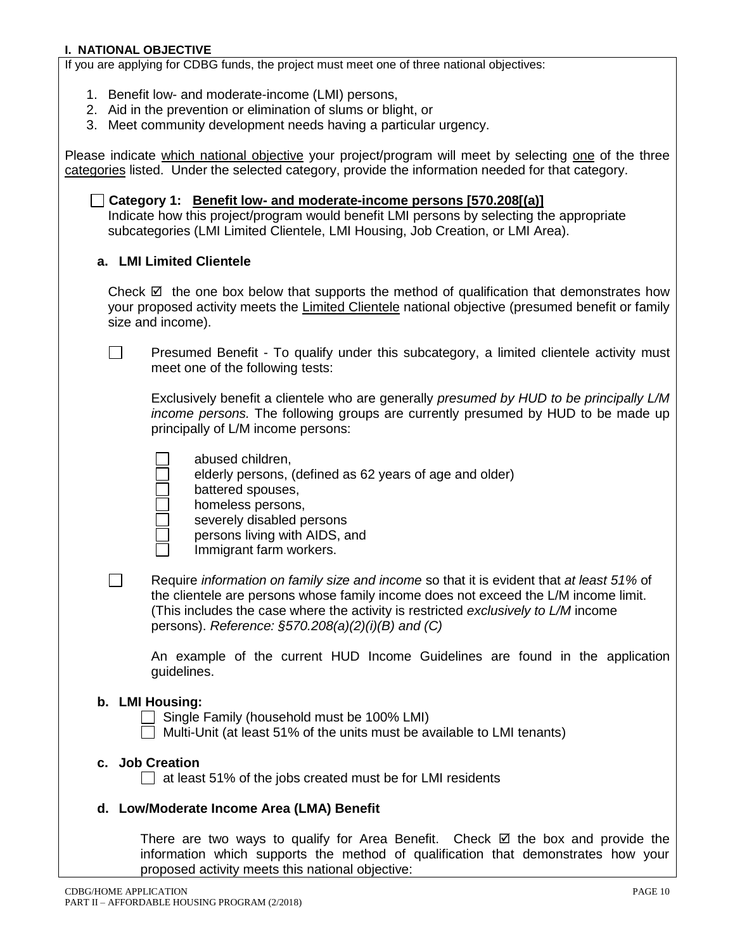## **I. NATIONAL OBJECTIVE**

If you are applying for CDBG funds, the project must meet one of three national objectives:

- 1. Benefit low- and moderate-income (LMI) persons,
- 2. Aid in the prevention or elimination of slums or blight, or
- 3. Meet community development needs having a particular urgency.

Please indicate which national objective your project/program will meet by selecting one of the three categories listed. Under the selected category, provide the information needed for that category.

**Category 1: Benefit low- and moderate-income persons [570.208[(a)]** Indicate how this project/program would benefit LMI persons by selecting the appropriate subcategories (LMI Limited Clientele, LMI Housing, Job Creation, or LMI Area).

# **a. LMI Limited Clientele**

 $\Box$ 

 $\Box$ 

Check  $\boxtimes$  the one box below that supports the method of qualification that demonstrates how your proposed activity meets the Limited Clientele national objective (presumed benefit or family size and income).

Presumed Benefit - To qualify under this subcategory, a limited clientele activity must meet one of the following tests:

Exclusively benefit a clientele who are generally *presumed by HUD to be principally L/M income persons.* The following groups are currently presumed by HUD to be made up principally of L/M income persons:

- abused children,
	- elderly persons, (defined as 62 years of age and older)
- battered spouses,
	- homeless persons,
	- severely disabled persons
	- persons living with AIDS, and
	- Immigrant farm workers.
- Require *information on family size and income* so that it is evident that *at least 51%* of the clientele are persons whose family income does not exceed the L/M income limit. (This includes the case where the activity is restricted *exclusively to L/M* income persons). *Reference: §570.208(a)(2)(i)(B) and (C)*

An example of the current HUD Income Guidelines are found in the application guidelines.

## **b. LMI Housing:**

 Single Family (household must be 100% LMI) Multi-Unit (at least 51% of the units must be available to LMI tenants)

## **c. Job Creation**

 $\Box$  at least 51% of the jobs created must be for LMI residents

## **d. Low/Moderate Income Area (LMA) Benefit**

There are two ways to qualify for Area Benefit. Check  $\boxtimes$  the box and provide the information which supports the method of qualification that demonstrates how your proposed activity meets this national objective: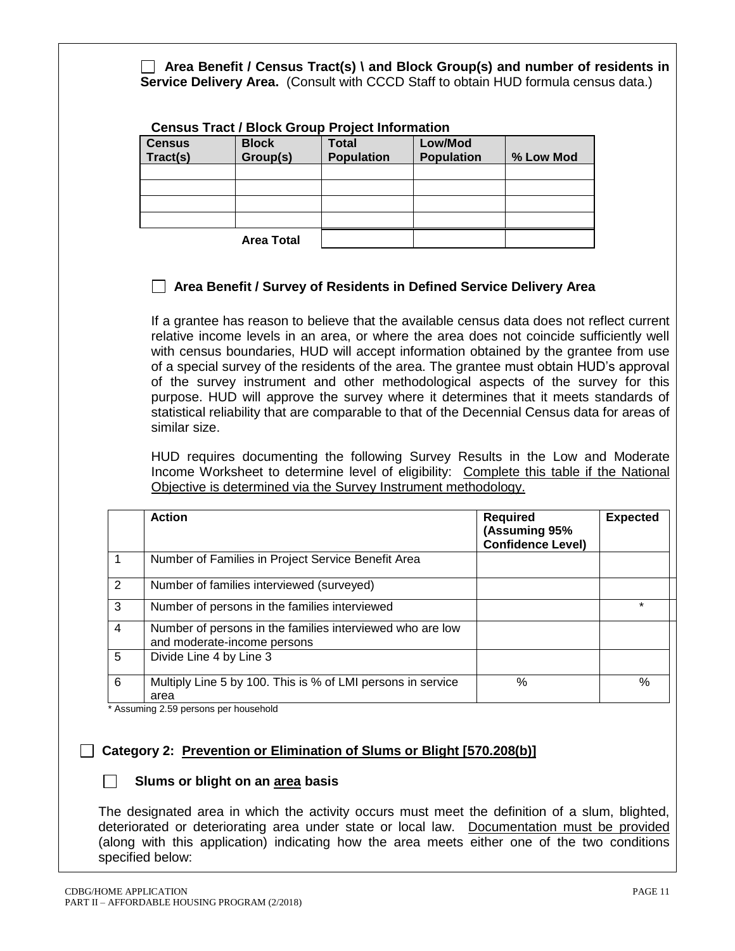**Area Benefit / Census Tract(s) \ and Block Group(s) and number of residents in Service Delivery Area.** (Consult with CCCD Staff to obtain HUD formula census data.)

# **Census Tract / Block Group Project Information**

| <b>Census</b><br>Tract(s) | <b>Block</b><br>Group(s) | <b>Total</b><br><b>Population</b> | Low/Mod<br><b>Population</b> | % Low Mod |
|---------------------------|--------------------------|-----------------------------------|------------------------------|-----------|
|                           |                          |                                   |                              |           |
|                           |                          |                                   |                              |           |
|                           |                          |                                   |                              |           |
|                           |                          |                                   |                              |           |
|                           | <b>Area Total</b>        |                                   |                              |           |

# **Area Benefit / Survey of Residents in Defined Service Delivery Area**

If a grantee has reason to believe that the available census data does not reflect current relative income levels in an area, or where the area does not coincide sufficiently well with census boundaries, HUD will accept information obtained by the grantee from use of a special survey of the residents of the area. The grantee must obtain HUD's approval of the survey instrument and other methodological aspects of the survey for this purpose. HUD will approve the survey where it determines that it meets standards of statistical reliability that are comparable to that of the Decennial Census data for areas of similar size.

HUD requires documenting the following Survey Results in the Low and Moderate Income Worksheet to determine level of eligibility: Complete this table if the National Objective is determined via the Survey Instrument methodology.

|                | <b>Action</b>                                                                            | <b>Required</b><br>(Assuming 95%<br><b>Confidence Level)</b> | <b>Expected</b> |
|----------------|------------------------------------------------------------------------------------------|--------------------------------------------------------------|-----------------|
|                | Number of Families in Project Service Benefit Area                                       |                                                              |                 |
| $\overline{2}$ | Number of families interviewed (surveyed)                                                |                                                              |                 |
| 3              | Number of persons in the families interviewed                                            |                                                              | $\star$         |
| $\overline{4}$ | Number of persons in the families interviewed who are low<br>and moderate-income persons |                                                              |                 |
| 5              | Divide Line 4 by Line 3                                                                  |                                                              |                 |
| 6              | Multiply Line 5 by 100. This is % of LMI persons in service<br>area                      | %                                                            | $\%$            |

\* Assuming 2.59 persons per household

# **Category 2: Prevention or Elimination of Slums or Blight [570.208(b)]**

## **Slums or blight on an area basis**

The designated area in which the activity occurs must meet the definition of a slum, blighted, deteriorated or deteriorating area under state or local law. Documentation must be provided (along with this application) indicating how the area meets either one of the two conditions specified below: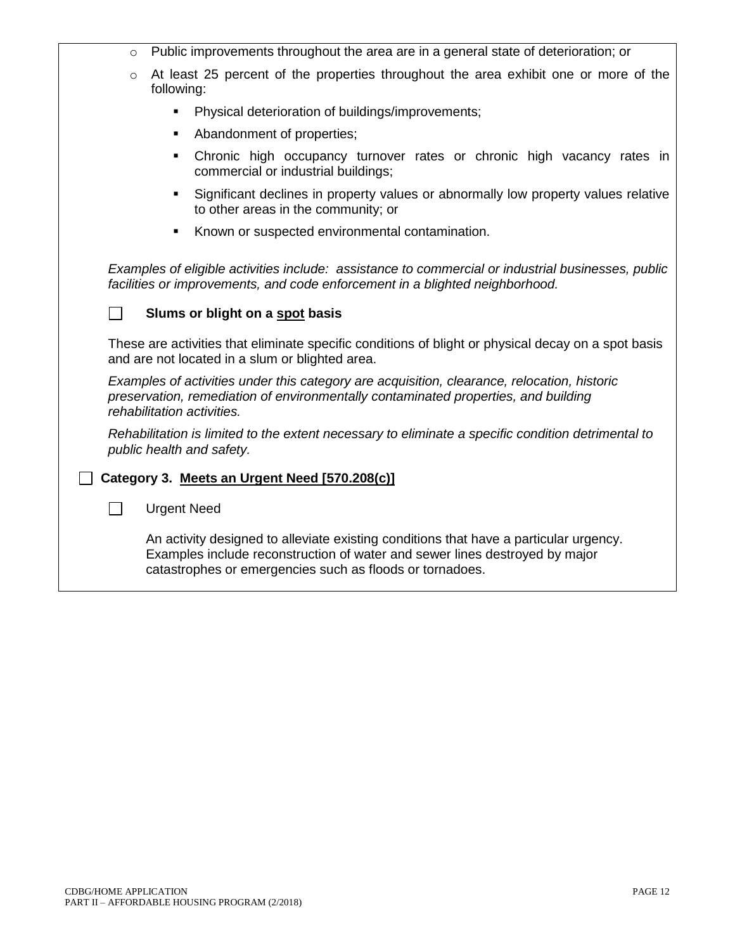| $\circ$ | Public improvements throughout the area are in a general state of deterioration; or                                                                                                                                              |
|---------|----------------------------------------------------------------------------------------------------------------------------------------------------------------------------------------------------------------------------------|
| $\circ$ | At least 25 percent of the properties throughout the area exhibit one or more of the<br>following:                                                                                                                               |
|         | Physical deterioration of buildings/improvements;<br>٠                                                                                                                                                                           |
|         | Abandonment of properties;<br>٠                                                                                                                                                                                                  |
|         | Chronic high occupancy turnover rates or chronic high vacancy rates in<br>٠<br>commercial or industrial buildings;                                                                                                               |
|         | Significant declines in property values or abnormally low property values relative<br>to other areas in the community; or                                                                                                        |
|         | Known or suspected environmental contamination.                                                                                                                                                                                  |
|         | Examples of eligible activities include: assistance to commercial or industrial businesses, public<br>facilities or improvements, and code enforcement in a blighted neighborhood.<br>Slums or blight on a spot basis            |
|         | These are activities that eliminate specific conditions of blight or physical decay on a spot basis<br>and are not located in a slum or blighted area.                                                                           |
|         | Examples of activities under this category are acquisition, clearance, relocation, historic<br>preservation, remediation of environmentally contaminated properties, and building<br>rehabilitation activities.                  |
|         | Rehabilitation is limited to the extent necessary to eliminate a specific condition detrimental to<br>public health and safety.                                                                                                  |
|         | Category 3. Meets an Urgent Need [570.208(c)]                                                                                                                                                                                    |
| $\sim$  | <b>Urgent Need</b>                                                                                                                                                                                                               |
|         | An activity designed to alleviate existing conditions that have a particular urgency.<br>Examples include reconstruction of water and sewer lines destroyed by major<br>catastrophes or emergencies such as floods or tornadoes. |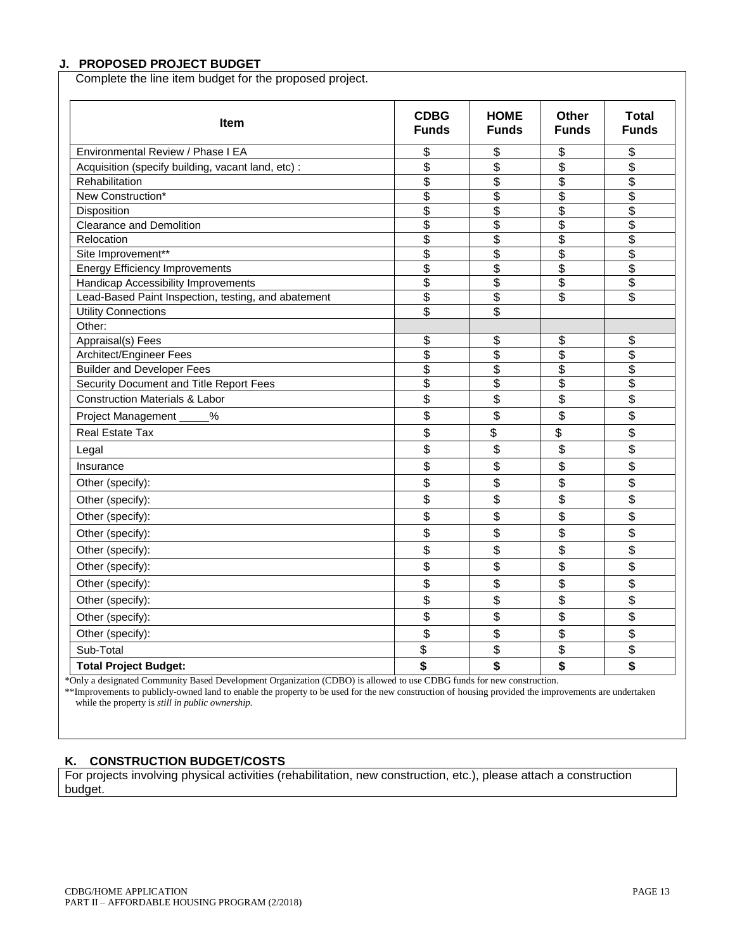## **J. PROPOSED PROJECT BUDGET**

Complete the line item budget for the proposed project.

| Item                                                | <b>CDBG</b><br><b>Funds</b> | <b>HOME</b><br><b>Funds</b> | Other<br><b>Funds</b>                | <b>Total</b><br><b>Funds</b>         |
|-----------------------------------------------------|-----------------------------|-----------------------------|--------------------------------------|--------------------------------------|
| Environmental Review / Phase I EA                   | \$                          | \$                          | \$                                   | \$                                   |
| Acquisition (specify building, vacant land, etc) :  | \$                          | \$                          | \$                                   | \$                                   |
| Rehabilitation                                      | $\overline{\$}$             | \$                          | $\overline{\mathcal{E}}$             | $\overline{\mathcal{E}}$             |
| New Construction*                                   | \$                          | \$                          | \$                                   | \$                                   |
| Disposition                                         | \$                          | \$                          | \$                                   | \$                                   |
| <b>Clearance and Demolition</b>                     | \$                          | \$                          | \$                                   | $\overline{\$}$                      |
| Relocation                                          | $\overline{\$}$             | \$                          | $\overline{\$}$                      | $\overline{\$}$                      |
| Site Improvement**                                  | \$                          | \$                          | \$                                   | $\overline{\boldsymbol{\mathsf{s}}}$ |
| <b>Energy Efficiency Improvements</b>               | \$                          | \$                          | $\overline{\boldsymbol{\mathsf{s}}}$ | $\overline{\boldsymbol{\mathsf{s}}}$ |
| Handicap Accessibility Improvements                 | \$                          | \$                          | \$                                   | \$                                   |
| Lead-Based Paint Inspection, testing, and abatement | \$                          | \$                          | \$                                   | \$                                   |
| <b>Utility Connections</b>                          | \$                          | \$                          |                                      |                                      |
| Other:                                              |                             |                             |                                      |                                      |
| Appraisal(s) Fees                                   | \$                          | \$                          | \$                                   | \$                                   |
| Architect/Engineer Fees                             | \$                          | \$                          | \$                                   | $\overline{\mathbf{S}}$              |
| <b>Builder and Developer Fees</b>                   | \$                          | \$                          | \$                                   | \$                                   |
| Security Document and Title Report Fees             | \$                          | \$                          | \$                                   | \$                                   |
| <b>Construction Materials &amp; Labor</b>           | \$                          | \$                          | \$                                   | \$                                   |
| Project Management<br>$\%$                          | \$                          | \$                          | \$                                   | \$                                   |
| <b>Real Estate Tax</b>                              | \$                          | \$                          | \$                                   | \$                                   |
| Legal                                               | \$                          | \$                          | \$                                   | \$                                   |
| Insurance                                           | \$                          | \$                          | \$                                   | \$                                   |
| Other (specify):                                    | \$                          | \$                          | \$                                   | \$                                   |
| Other (specify):                                    | \$                          | \$                          | \$                                   | \$                                   |
| Other (specify):                                    | \$                          | \$                          | \$                                   | \$                                   |
| Other (specify):                                    | \$                          | \$                          | \$                                   | \$                                   |
| Other (specify):                                    | \$                          | \$                          | \$                                   | \$                                   |
| Other (specify):                                    | \$                          | \$                          | \$                                   | \$                                   |
| Other (specify):                                    | \$                          | \$                          | \$                                   | \$                                   |
| Other (specify):                                    | \$                          | \$                          | \$                                   | \$                                   |
| Other (specify):                                    | \$                          | \$                          | \$                                   | \$                                   |
| Other (specify):                                    | \$                          | \$                          | \$                                   | \$                                   |
| Sub-Total                                           | \$                          | \$                          | \$                                   | \$                                   |
| <b>Total Project Budget:</b>                        | \$                          | \$                          | \$                                   | \$                                   |

\*Only a designated Community Based Development Organization (CDBO) is allowed to use CDBG funds for new construction.

\*\*Improvements to publicly-owned land to enable the property to be used for the new construction of housing provided the improvements are undertaken while the property is *still in public ownership.*

#### **K. CONSTRUCTION BUDGET/COSTS**

For projects involving physical activities (rehabilitation, new construction, etc.), please attach a construction budget.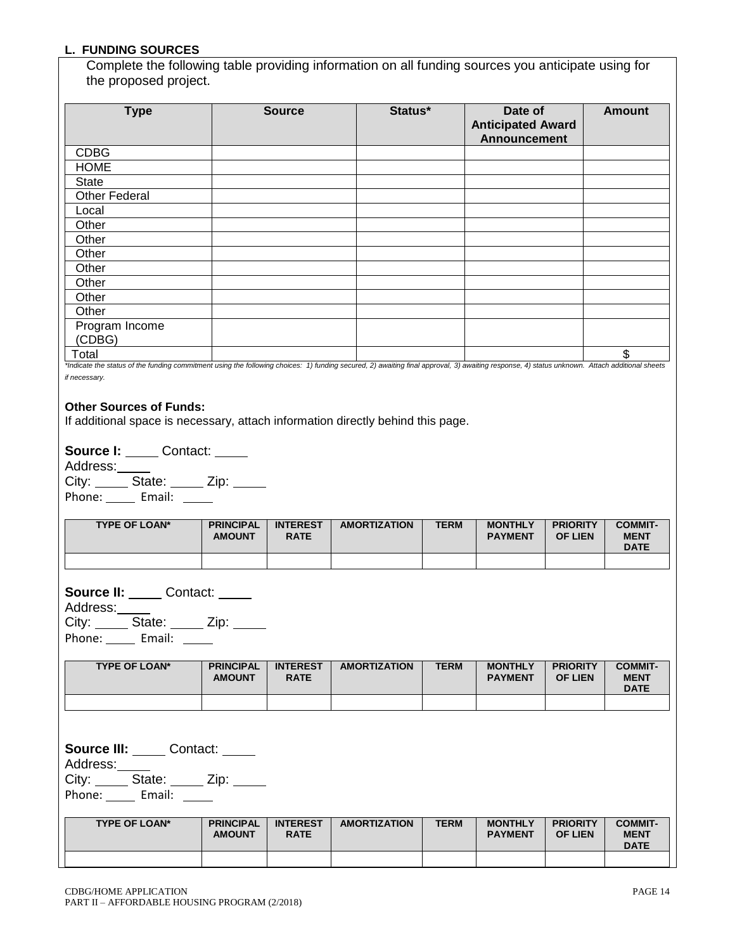#### **L. FUNDING SOURCES**

Complete the following table providing information on all funding sources you anticipate using for the proposed project.

| <b>Type</b>              | <b>Source</b>                                                                                                                                                                              | Status* | Date of<br><b>Anticipated Award</b><br><b>Announcement</b> | <b>Amount</b> |
|--------------------------|--------------------------------------------------------------------------------------------------------------------------------------------------------------------------------------------|---------|------------------------------------------------------------|---------------|
| <b>CDBG</b>              |                                                                                                                                                                                            |         |                                                            |               |
| <b>HOME</b>              |                                                                                                                                                                                            |         |                                                            |               |
| <b>State</b>             |                                                                                                                                                                                            |         |                                                            |               |
| <b>Other Federal</b>     |                                                                                                                                                                                            |         |                                                            |               |
| Local                    |                                                                                                                                                                                            |         |                                                            |               |
| Other                    |                                                                                                                                                                                            |         |                                                            |               |
| Other                    |                                                                                                                                                                                            |         |                                                            |               |
| Other                    |                                                                                                                                                                                            |         |                                                            |               |
| Other                    |                                                                                                                                                                                            |         |                                                            |               |
| Other                    |                                                                                                                                                                                            |         |                                                            |               |
| Other                    |                                                                                                                                                                                            |         |                                                            |               |
| Other                    |                                                                                                                                                                                            |         |                                                            |               |
| Program Income<br>(CDBG) |                                                                                                                                                                                            |         |                                                            |               |
| Total                    | tindicate the status of the funding commitment using the following choices: 1) funding secured 2) quajting final annroyal 3) quajting response 4) status unknown. Aftach additional sheets |         |                                                            | \$            |

us of the funding commitment using the following choices: 1) funding secured, 2) awaiting final approval, 3) awaiting response, 4) status unknown. Attach additional sh *if necessary.*

#### **Other Sources of Funds:**

If additional space is necessary, attach information directly behind this page.

**Source I:** Contact: \_\_\_\_\_

Address: City: State: Zip: \_\_\_\_ Phone: Email: \_\_\_\_\_

| <b>TYPE OF LOAN*</b> | <b>PRINCIPAL</b><br><b>AMOUNT</b> | <b>INTEREST</b><br><b>RATE</b> | <b>AMORTIZATION</b> | <b>TERM</b> | <b>MONTHLY</b><br><b>PAYMENT</b> | <b>PRIORITY</b><br><b>OF LIEN</b> | <b>COMMIT-</b><br><b>MENT</b><br><b>DATE</b> |
|----------------------|-----------------------------------|--------------------------------|---------------------|-------------|----------------------------------|-----------------------------------|----------------------------------------------|
|                      |                                   |                                |                     |             |                                  |                                   |                                              |

**Source II:** Contact: \_\_\_\_ Address: City: State: Zip: \_\_\_ Phone: Email: \_\_\_\_\_

| <b>TYPE OF LOAN*</b> | <b>PRINCIPAL</b><br><b>AMOUNT</b> | <b>INTEREST</b><br><b>RATE</b> | <b>AMORTIZATION</b> | <b>TERM</b> | <b>MONTHLY</b><br><b>PAYMENT</b> | <b>PRIORITY</b><br><b>OF LIEN</b> | <b>COMMIT-</b><br><b>MENT</b><br><b>DATE</b> |
|----------------------|-----------------------------------|--------------------------------|---------------------|-------------|----------------------------------|-----------------------------------|----------------------------------------------|
|                      |                                   |                                |                     |             |                                  |                                   |                                              |

**Source III:** Contact: \_\_\_\_ Address: City: State: \_\_\_\_ Zip: \_\_\_\_

Phone: Email: \_\_\_\_

| <b>TYPE OF LOAN*</b> | <b>PRINCIPAL</b><br><b>AMOUNT</b> | <b>INTEREST</b><br><b>RATE</b> | <b>AMORTIZATION</b> | <b>TERM</b> | <b>MONTHLY</b><br><b>PAYMENT</b> | <b>PRIORITY</b><br><b>OF LIEN</b> | <b>COMMIT-</b><br><b>MENT</b><br><b>DATE</b> |
|----------------------|-----------------------------------|--------------------------------|---------------------|-------------|----------------------------------|-----------------------------------|----------------------------------------------|
|                      |                                   |                                |                     |             |                                  |                                   |                                              |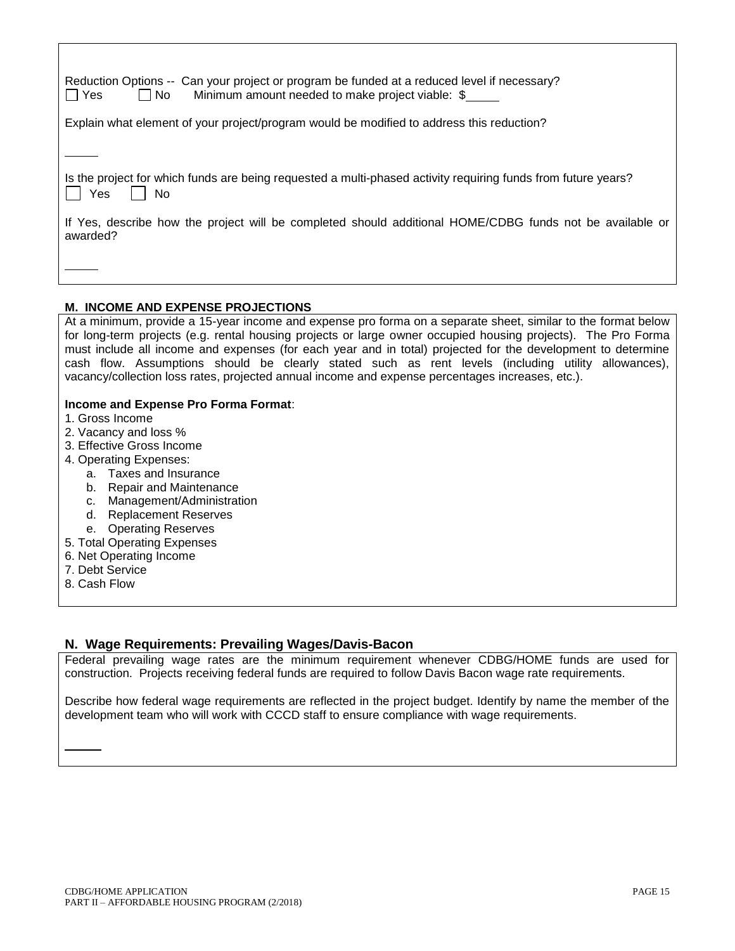| Reduction Options -- Can your project or program be funded at a reduced level if necessary?<br>  Yes<br>l No<br>Minimum amount needed to make project viable: \$ |
|------------------------------------------------------------------------------------------------------------------------------------------------------------------|
| Explain what element of your project/program would be modified to address this reduction?                                                                        |
|                                                                                                                                                                  |
| Is the project for which funds are being requested a multi-phased activity requiring funds from future years?<br>Yes<br><b>No</b>                                |
| If Yes, describe how the project will be completed should additional HOME/CDBG funds not be available or<br>awarded?                                             |
|                                                                                                                                                                  |
|                                                                                                                                                                  |

## **M. INCOME AND EXPENSE PROJECTIONS**

At a minimum, provide a 15-year income and expense pro forma on a separate sheet, similar to the format below for long-term projects (e.g. rental housing projects or large owner occupied housing projects). The Pro Forma must include all income and expenses (for each year and in total) projected for the development to determine cash flow. Assumptions should be clearly stated such as rent levels (including utility allowances), vacancy/collection loss rates, projected annual income and expense percentages increases, etc.).

## **Income and Expense Pro Forma Format**:

- 1. Gross Income
- 2. Vacancy and loss %
- 3. Effective Gross Income
- 4. Operating Expenses:
	- a. Taxes and Insurance
	- b. Repair and Maintenance
	- c. Management/Administration
	- d. Replacement Reserves
	- e. Operating Reserves
- 5. Total Operating Expenses
- 6. Net Operating Income
- 7. Debt Service
- 8. Cash Flow

## **N. Wage Requirements: Prevailing Wages/Davis-Bacon**

Federal prevailing wage rates are the minimum requirement whenever CDBG/HOME funds are used for construction. Projects receiving federal funds are required to follow Davis Bacon wage rate requirements.

Describe how federal wage requirements are reflected in the project budget. Identify by name the member of the development team who will work with CCCD staff to ensure compliance with wage requirements.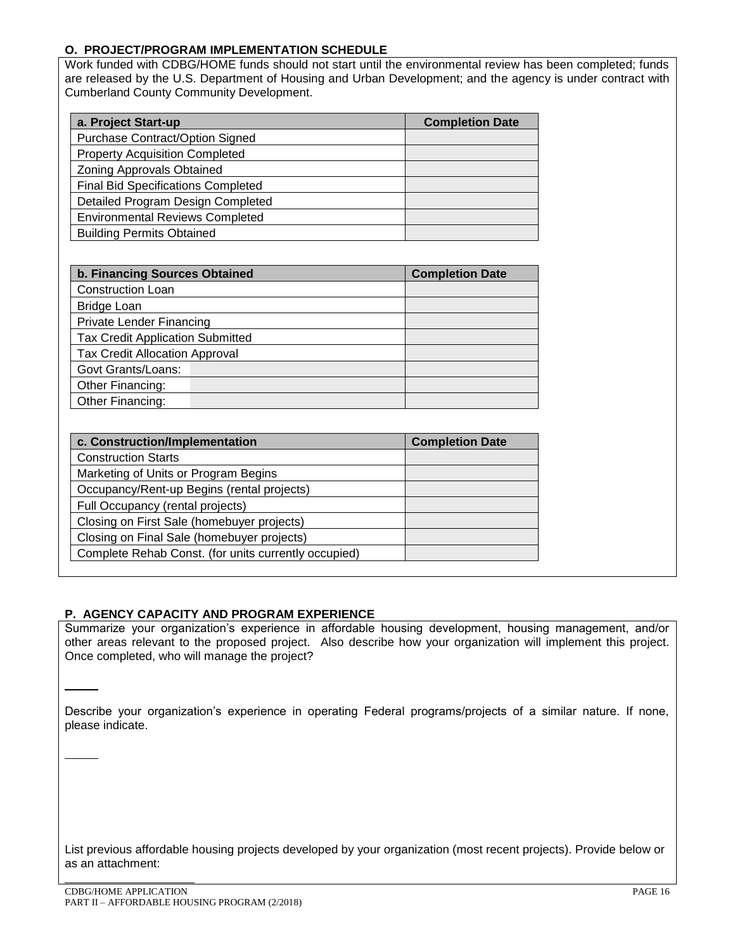# **O. PROJECT/PROGRAM IMPLEMENTATION SCHEDULE**

Work funded with CDBG/HOME funds should not start until the environmental review has been completed; funds are released by the U.S. Department of Housing and Urban Development; and the agency is under contract with Cumberland County Community Development.

| a. Project Start-up                       | <b>Completion Date</b> |
|-------------------------------------------|------------------------|
| Purchase Contract/Option Signed           |                        |
| <b>Property Acquisition Completed</b>     |                        |
| Zoning Approvals Obtained                 |                        |
| <b>Final Bid Specifications Completed</b> |                        |
| Detailed Program Design Completed         |                        |
| <b>Environmental Reviews Completed</b>    |                        |
| <b>Building Permits Obtained</b>          |                        |

| b. Financing Sources Obtained           | <b>Completion Date</b> |
|-----------------------------------------|------------------------|
| <b>Construction Loan</b>                |                        |
| <b>Bridge Loan</b>                      |                        |
| <b>Private Lender Financing</b>         |                        |
| <b>Tax Credit Application Submitted</b> |                        |
| <b>Tax Credit Allocation Approval</b>   |                        |
| Govt Grants/Loans:                      |                        |
| Other Financing:                        |                        |
| Other Financing:                        |                        |

| c. Construction/Implementation                       | <b>Completion Date</b> |
|------------------------------------------------------|------------------------|
| <b>Construction Starts</b>                           |                        |
| Marketing of Units or Program Begins                 |                        |
| Occupancy/Rent-up Begins (rental projects)           |                        |
| Full Occupancy (rental projects)                     |                        |
| Closing on First Sale (homebuyer projects)           |                        |
| Closing on Final Sale (homebuyer projects)           |                        |
| Complete Rehab Const. (for units currently occupied) |                        |

## **P. AGENCY CAPACITY AND PROGRAM EXPERIENCE**

Summarize your organization's experience in affordable housing development, housing management, and/or other areas relevant to the proposed project. Also describe how your organization will implement this project. Once completed, who will manage the project?

Describe your organization's experience in operating Federal programs/projects of a similar nature. If none, please indicate.

List previous affordable housing projects developed by your organization (most recent projects). Provide below or as an attachment: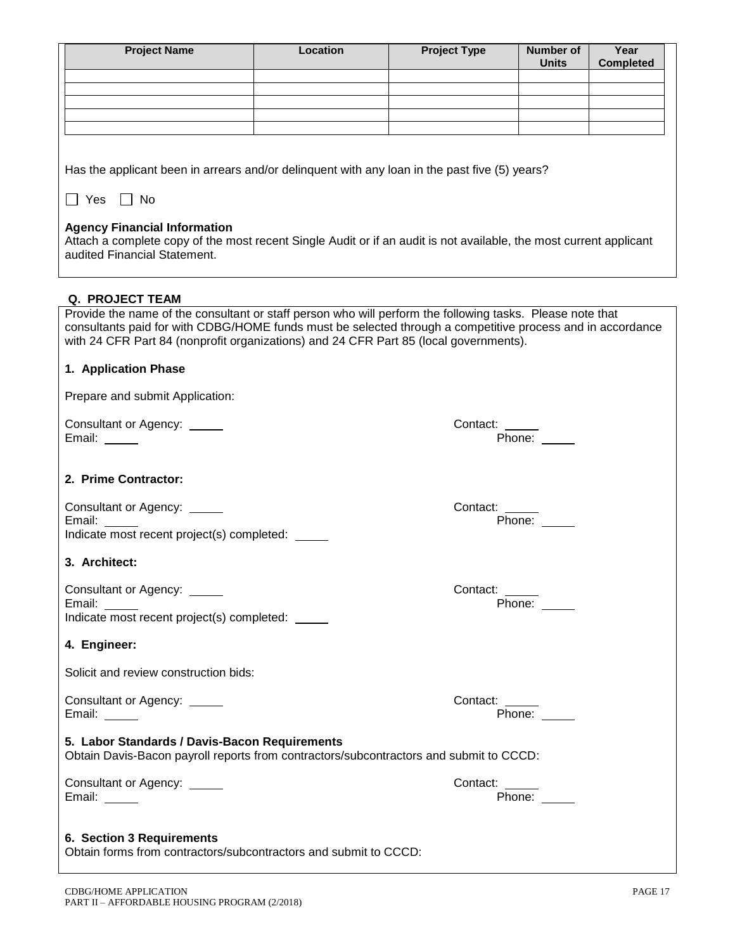| <b>Project Name</b>                                                                                                                                                                                                                                                                                              | Location | <b>Project Type</b> | Number of<br><b>Units</b> | Year<br><b>Completed</b> |
|------------------------------------------------------------------------------------------------------------------------------------------------------------------------------------------------------------------------------------------------------------------------------------------------------------------|----------|---------------------|---------------------------|--------------------------|
|                                                                                                                                                                                                                                                                                                                  |          |                     |                           |                          |
|                                                                                                                                                                                                                                                                                                                  |          |                     |                           |                          |
|                                                                                                                                                                                                                                                                                                                  |          |                     |                           |                          |
| Has the applicant been in arrears and/or delinquent with any loan in the past five (5) years?                                                                                                                                                                                                                    |          |                     |                           |                          |
| □ Yes □ No                                                                                                                                                                                                                                                                                                       |          |                     |                           |                          |
| <b>Agency Financial Information</b><br>Attach a complete copy of the most recent Single Audit or if an audit is not available, the most current applicant<br>audited Financial Statement.                                                                                                                        |          |                     |                           |                          |
| <b>Q. PROJECT TEAM</b>                                                                                                                                                                                                                                                                                           |          |                     |                           |                          |
| Provide the name of the consultant or staff person who will perform the following tasks. Please note that<br>consultants paid for with CDBG/HOME funds must be selected through a competitive process and in accordance<br>with 24 CFR Part 84 (nonprofit organizations) and 24 CFR Part 85 (local governments). |          |                     |                           |                          |
| 1. Application Phase                                                                                                                                                                                                                                                                                             |          |                     |                           |                          |
| Prepare and submit Application:                                                                                                                                                                                                                                                                                  |          |                     |                           |                          |
| Consultant or Agency: _____<br>Email: _____                                                                                                                                                                                                                                                                      |          | Contact:<br>Phone:  |                           |                          |
| 2. Prime Contractor:                                                                                                                                                                                                                                                                                             |          |                     |                           |                          |
| Consultant or Agency: _____<br>Email:                                                                                                                                                                                                                                                                            |          | Contact:<br>Phone:  |                           |                          |
| Indicate most recent project(s) completed:                                                                                                                                                                                                                                                                       |          |                     |                           |                          |
| 3. Architect:                                                                                                                                                                                                                                                                                                    |          |                     |                           |                          |
| Consultant or Agency: _____<br>Email: _____                                                                                                                                                                                                                                                                      |          | Contact:            | Phone: _____              |                          |
| Indicate most recent project(s) completed:                                                                                                                                                                                                                                                                       |          |                     |                           |                          |
| 4. Engineer:                                                                                                                                                                                                                                                                                                     |          |                     |                           |                          |
| Solicit and review construction bids:                                                                                                                                                                                                                                                                            |          |                     |                           |                          |
| Consultant or Agency: _____<br>Email: _____                                                                                                                                                                                                                                                                      |          | Contact: _____      | Phone:                    |                          |
| 5. Labor Standards / Davis-Bacon Requirements<br>Obtain Davis-Bacon payroll reports from contractors/subcontractors and submit to CCCD:                                                                                                                                                                          |          |                     |                           |                          |
| Consultant or Agency: _____<br>Email: _____                                                                                                                                                                                                                                                                      |          | Contact:            | Phone: $\_\_$             |                          |
| 6. Section 3 Requirements<br>Obtain forms from contractors/subcontractors and submit to CCCD:                                                                                                                                                                                                                    |          |                     |                           |                          |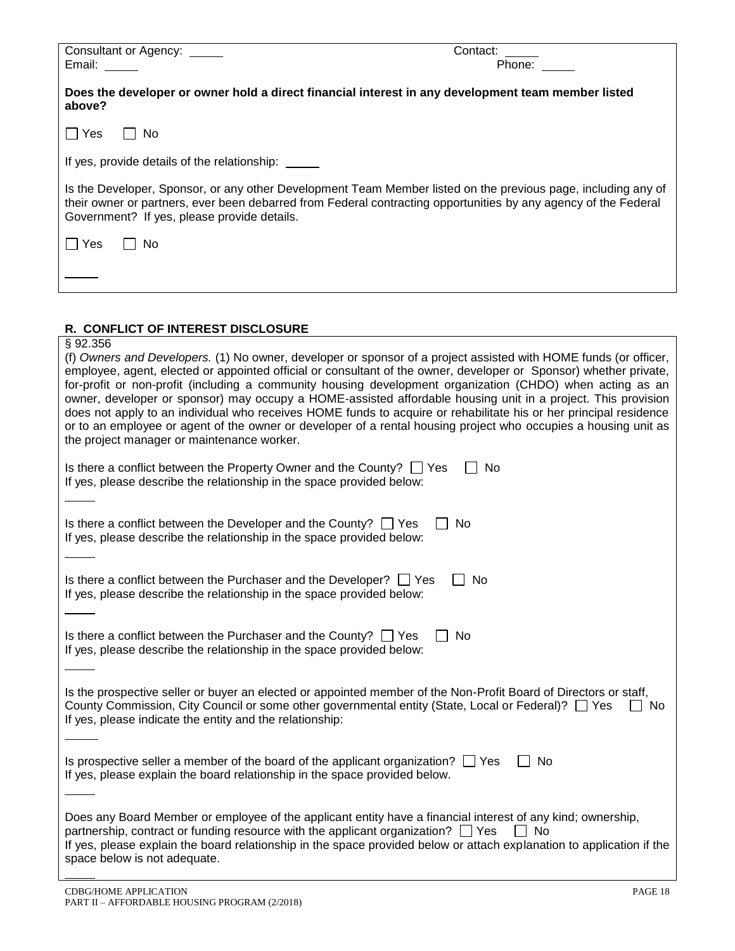| Consultant or Agency: _____                                                                                                                                               | Contact:                                                                                                                                                                                                                                                                                                                                                                                                                                                                                                                                                                                                                                                                                                   |
|---------------------------------------------------------------------------------------------------------------------------------------------------------------------------|------------------------------------------------------------------------------------------------------------------------------------------------------------------------------------------------------------------------------------------------------------------------------------------------------------------------------------------------------------------------------------------------------------------------------------------------------------------------------------------------------------------------------------------------------------------------------------------------------------------------------------------------------------------------------------------------------------|
| Email:                                                                                                                                                                    | Phone:                                                                                                                                                                                                                                                                                                                                                                                                                                                                                                                                                                                                                                                                                                     |
| above?                                                                                                                                                                    | Does the developer or owner hold a direct financial interest in any development team member listed                                                                                                                                                                                                                                                                                                                                                                                                                                                                                                                                                                                                         |
| ∣ No<br>l IYes                                                                                                                                                            |                                                                                                                                                                                                                                                                                                                                                                                                                                                                                                                                                                                                                                                                                                            |
| If yes, provide details of the relationship:                                                                                                                              |                                                                                                                                                                                                                                                                                                                                                                                                                                                                                                                                                                                                                                                                                                            |
| Government? If yes, please provide details.                                                                                                                               | Is the Developer, Sponsor, or any other Development Team Member listed on the previous page, including any of<br>their owner or partners, ever been debarred from Federal contracting opportunities by any agency of the Federal                                                                                                                                                                                                                                                                                                                                                                                                                                                                           |
| $\Box$ Yes<br>No                                                                                                                                                          |                                                                                                                                                                                                                                                                                                                                                                                                                                                                                                                                                                                                                                                                                                            |
|                                                                                                                                                                           |                                                                                                                                                                                                                                                                                                                                                                                                                                                                                                                                                                                                                                                                                                            |
|                                                                                                                                                                           |                                                                                                                                                                                                                                                                                                                                                                                                                                                                                                                                                                                                                                                                                                            |
| R. CONFLICT OF INTEREST DISCLOSURE                                                                                                                                        |                                                                                                                                                                                                                                                                                                                                                                                                                                                                                                                                                                                                                                                                                                            |
| §92.356<br>the project manager or maintenance worker.                                                                                                                     | (f) Owners and Developers. (1) No owner, developer or sponsor of a project assisted with HOME funds (or officer,<br>employee, agent, elected or appointed official or consultant of the owner, developer or Sponsor) whether private,<br>for-profit or non-profit (including a community housing development organization (CHDO) when acting as an<br>owner, developer or sponsor) may occupy a HOME-assisted affordable housing unit in a project. This provision<br>does not apply to an individual who receives HOME funds to acquire or rehabilitate his or her principal residence<br>or to an employee or agent of the owner or developer of a rental housing project who occupies a housing unit as |
| Is there a conflict between the Property Owner and the County? $\Box$ Yes<br>If yes, please describe the relationship in the space provided below:                        | No                                                                                                                                                                                                                                                                                                                                                                                                                                                                                                                                                                                                                                                                                                         |
| Is there a conflict between the Developer and the County? $\Box$ Yes<br>If yes, please describe the relationship in the space provided below:                             | No                                                                                                                                                                                                                                                                                                                                                                                                                                                                                                                                                                                                                                                                                                         |
| Is there a conflict between the Purchaser and the Developer? $\Box$ Yes<br>If yes, please describe the relationship in the space provided below:                          | No                                                                                                                                                                                                                                                                                                                                                                                                                                                                                                                                                                                                                                                                                                         |
| Is there a conflict between the Purchaser and the County? $\Box$ Yes<br>If yes, please describe the relationship in the space provided below:                             | <b>No</b>                                                                                                                                                                                                                                                                                                                                                                                                                                                                                                                                                                                                                                                                                                  |
| County Commission, City Council or some other governmental entity (State, Local or Federal)? <sup>7</sup> Ses<br>If yes, please indicate the entity and the relationship: | Is the prospective seller or buyer an elected or appointed member of the Non-Profit Board of Directors or staff,<br>No.                                                                                                                                                                                                                                                                                                                                                                                                                                                                                                                                                                                    |
| Is prospective seller a member of the board of the applicant organization? $\Box$ Yes<br>If yes, please explain the board relationship in the space provided below.       | No                                                                                                                                                                                                                                                                                                                                                                                                                                                                                                                                                                                                                                                                                                         |

| Does any Board Member or employee of the applicant entity have a financial interest of any kind; ownership,           |
|-----------------------------------------------------------------------------------------------------------------------|
| partnership, contract or funding resource with the applicant organization? $\Box$ Yes $\Box$ No                       |
| If yes, please explain the board relationship in the space provided below or attach explanation to application if the |
| space below is not adequate.                                                                                          |